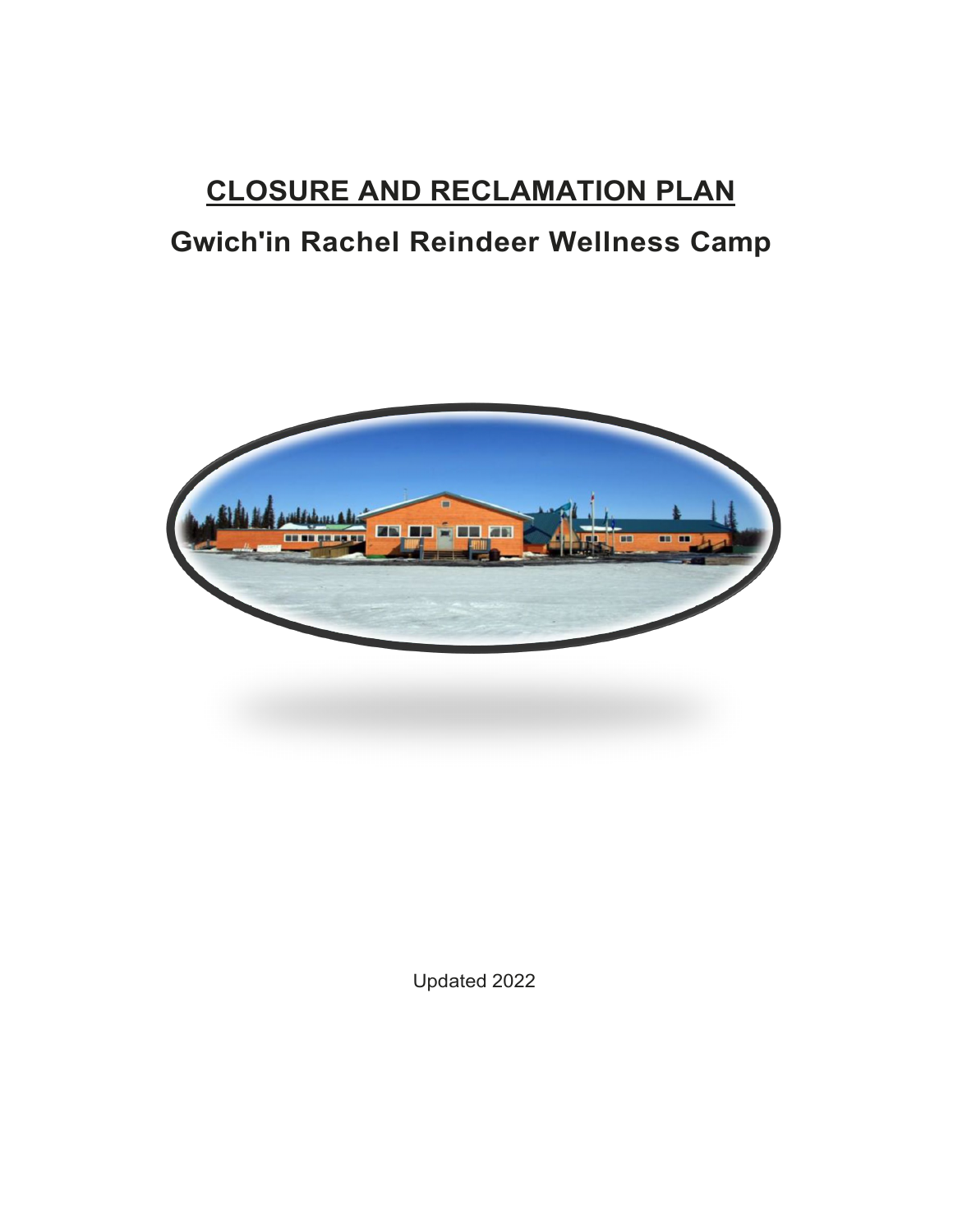# **CLOSURE AND RECLAMATION PLAN**

## **Gwich'in Rachel Reindeer Wellness Camp**



Updated 2022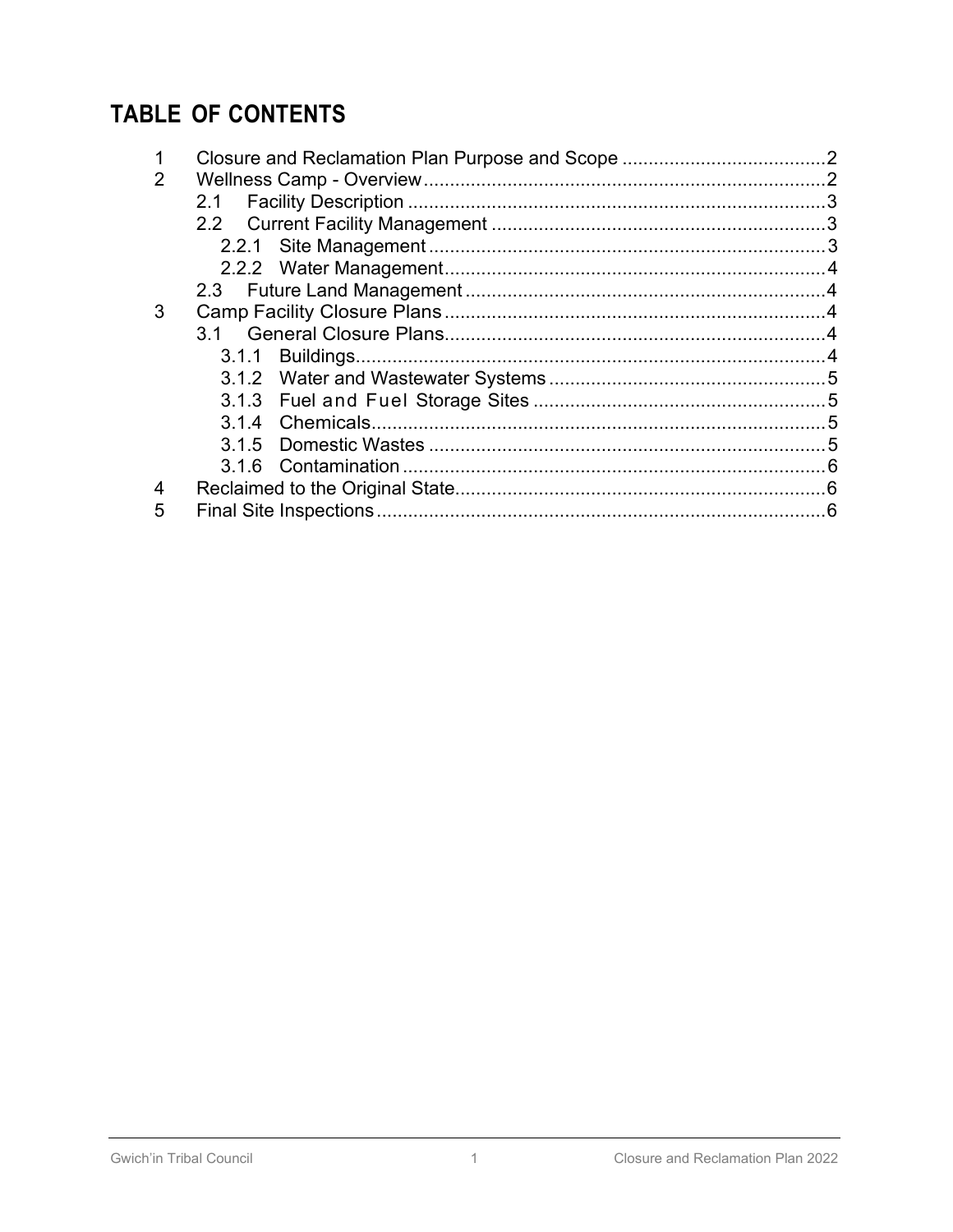## **TABLE OF CONTENTS**

| 2 |  |  |  |
|---|--|--|--|
|   |  |  |  |
|   |  |  |  |
|   |  |  |  |
|   |  |  |  |
|   |  |  |  |
| 3 |  |  |  |
|   |  |  |  |
|   |  |  |  |
|   |  |  |  |
|   |  |  |  |
|   |  |  |  |
|   |  |  |  |
|   |  |  |  |
| 4 |  |  |  |
| 5 |  |  |  |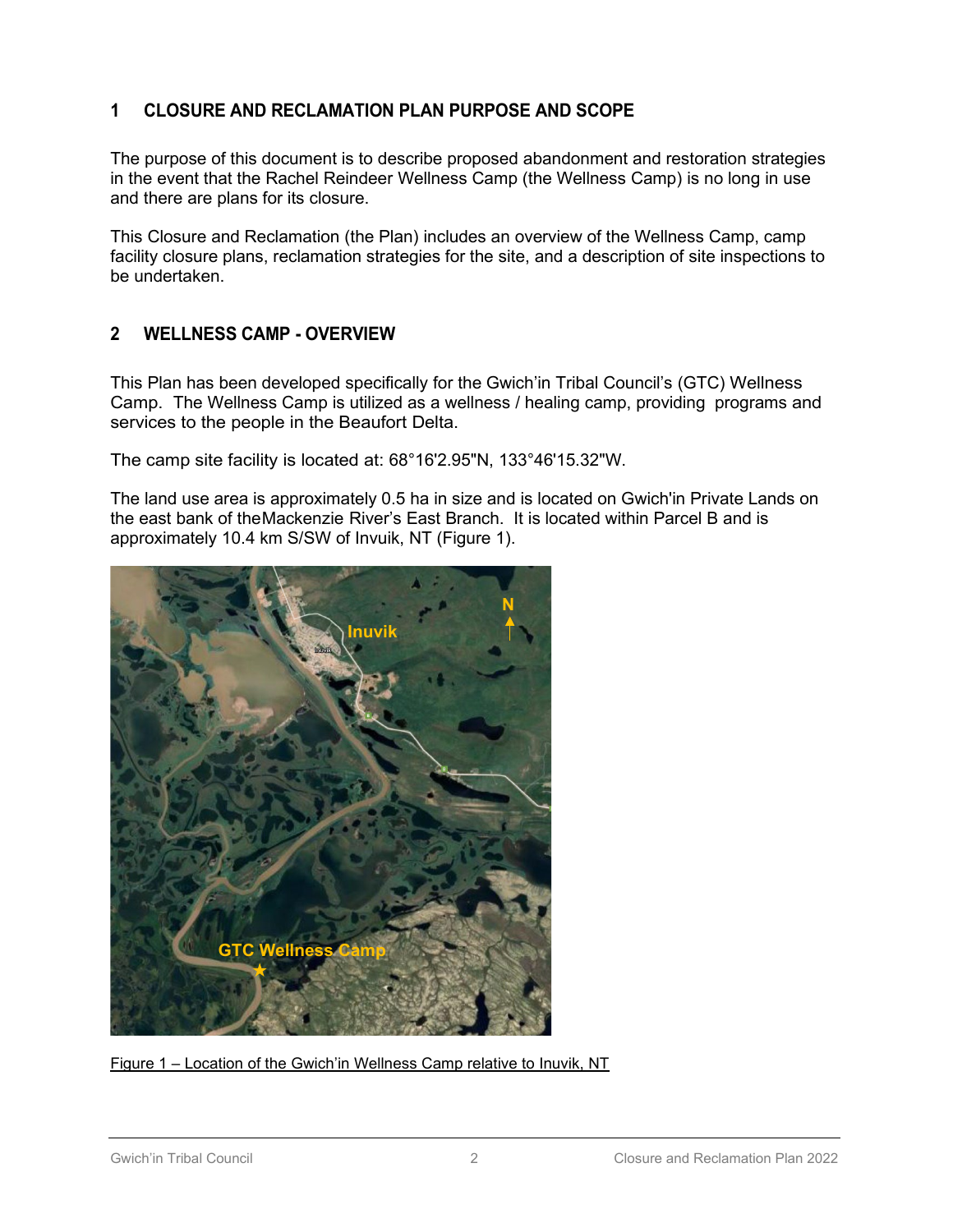## **1 CLOSURE AND RECLAMATION PLAN PURPOSE AND SCOPE**

The purpose of this document is to describe proposed abandonment and restoration strategies in the event that the Rachel Reindeer Wellness Camp (the Wellness Camp) is no long in use and there are plans for its closure.

This Closure and Reclamation (the Plan) includes an overview of the Wellness Camp, camp facility closure plans, reclamation strategies for the site, and a description of site inspections to be undertaken.

## **2 WELLNESS CAMP - OVERVIEW**

This Plan has been developed specifically for the Gwich'in Tribal Council's (GTC) Wellness Camp. The Wellness Camp is utilized as a wellness / healing camp, providing programs and services to the people in the Beaufort Delta.

The camp site facility is located at: 68°16'2.95"N, 133°46'15.32"W.

The land use area is approximately 0.5 ha in size and is located on Gwich'in Private Lands on the east bank of theMackenzie River's East Branch. It is located within Parcel B and is approximately 10.4 km S/SW of Invuik, NT (Figure 1).



Figure 1 – Location of the Gwich'in Wellness Camp relative to Inuvik, NT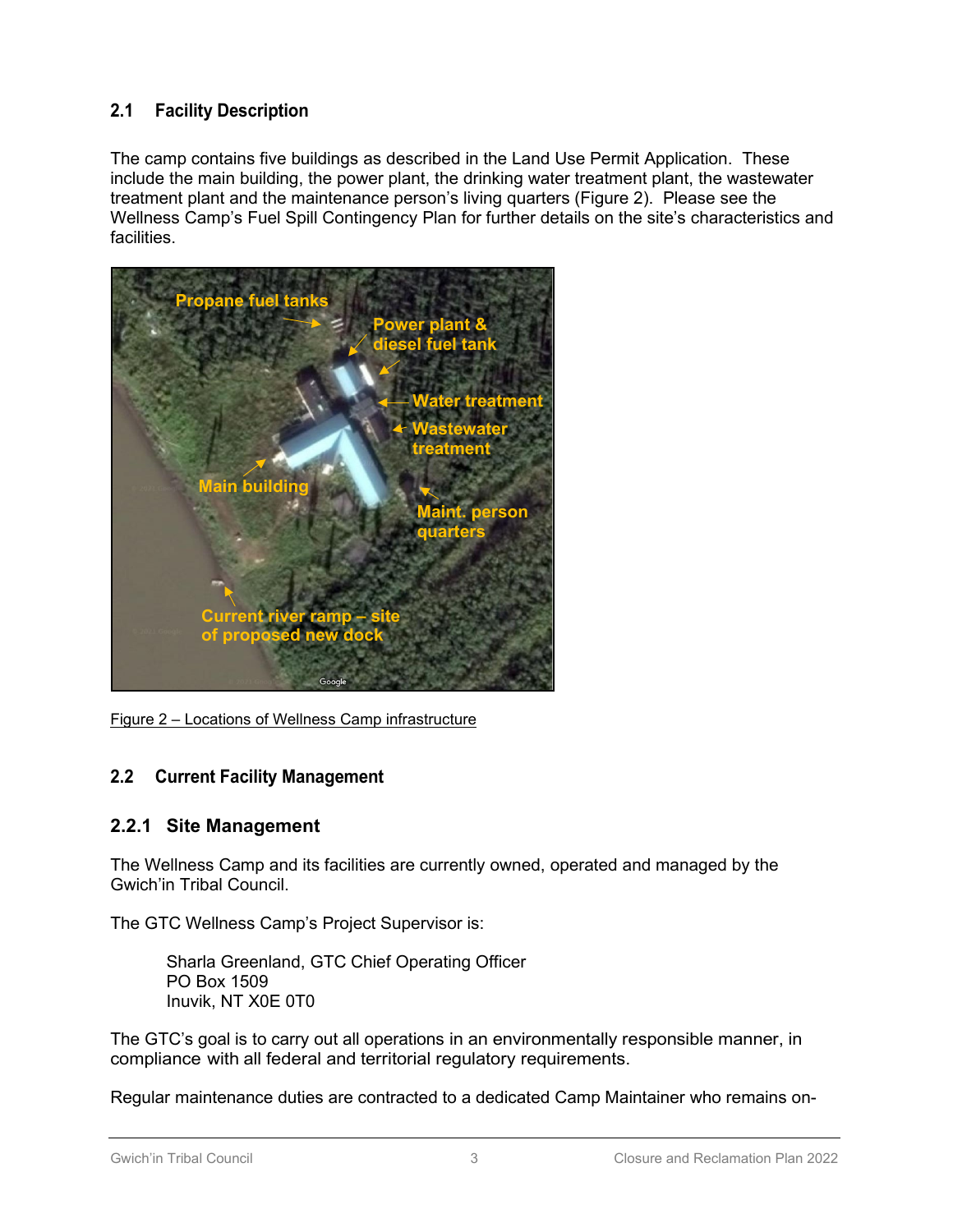## **2.1 Facility Description**

The camp contains five buildings as described in the Land Use Permit Application. These include the main building, the power plant, the drinking water treatment plant, the wastewater treatment plant and the maintenance person's living quarters (Figure 2). Please see the Wellness Camp's Fuel Spill Contingency Plan for further details on the site's characteristics and facilities.



Figure 2 – Locations of Wellness Camp infrastructure

## **2.2 Current Facility Management**

## **2.2.1 Site Management**

The Wellness Camp and its facilities are currently owned, operated and managed by the Gwich'in Tribal Council.

The GTC Wellness Camp's Project Supervisor is:

Sharla Greenland, GTC Chief Operating Officer PO Box 1509 Inuvik, NT X0E 0T0

The GTC's goal is to carry out all operations in an environmentally responsible manner, in compliance with all federal and territorial regulatory requirements.

Regular maintenance duties are contracted to a dedicated Camp Maintainer who remains on-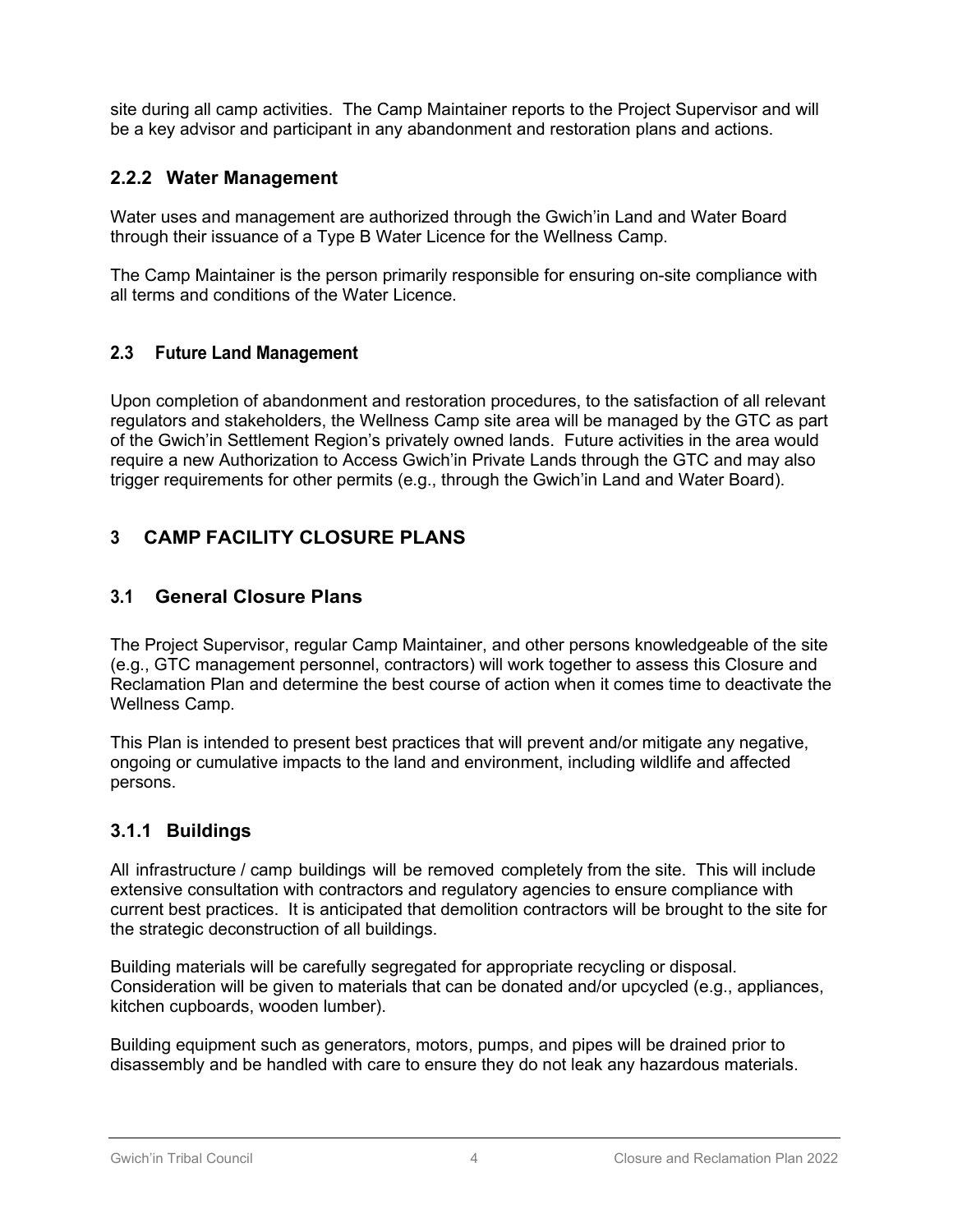site during all camp activities. The Camp Maintainer reports to the Project Supervisor and will be a key advisor and participant in any abandonment and restoration plans and actions.

## **2.2.2 Water Management**

Water uses and management are authorized through the Gwich'in Land and Water Board through their issuance of a Type B Water Licence for the Wellness Camp.

The Camp Maintainer is the person primarily responsible for ensuring on-site compliance with all terms and conditions of the Water Licence.

## **2.3 Future Land Management**

Upon completion of abandonment and restoration procedures, to the satisfaction of all relevant regulators and stakeholders, the Wellness Camp site area will be managed by the GTC as part of the Gwich'in Settlement Region's privately owned lands. Future activities in the area would require a new Authorization to Access Gwich'in Private Lands through the GTC and may also trigger requirements for other permits (e.g., through the Gwich'in Land and Water Board).

## **3 CAMP FACILITY CLOSURE PLANS**

## **3.1 General Closure Plans**

The Project Supervisor, regular Camp Maintainer, and other persons knowledgeable of the site (e.g., GTC management personnel, contractors) will work together to assess this Closure and Reclamation Plan and determine the best course of action when it comes time to deactivate the Wellness Camp.

This Plan is intended to present best practices that will prevent and/or mitigate any negative, ongoing or cumulative impacts to the land and environment, including wildlife and affected persons.

## **3.1.1 Buildings**

All infrastructure / camp buildings will be removed completely from the site. This will include extensive consultation with contractors and regulatory agencies to ensure compliance with current best practices. It is anticipated that demolition contractors will be brought to the site for the strategic deconstruction of all buildings.

Building materials will be carefully segregated for appropriate recycling or disposal. Consideration will be given to materials that can be donated and/or upcycled (e.g., appliances, kitchen cupboards, wooden lumber).

Building equipment such as generators, motors, pumps, and pipes will be drained prior to disassembly and be handled with care to ensure they do not leak any hazardous materials.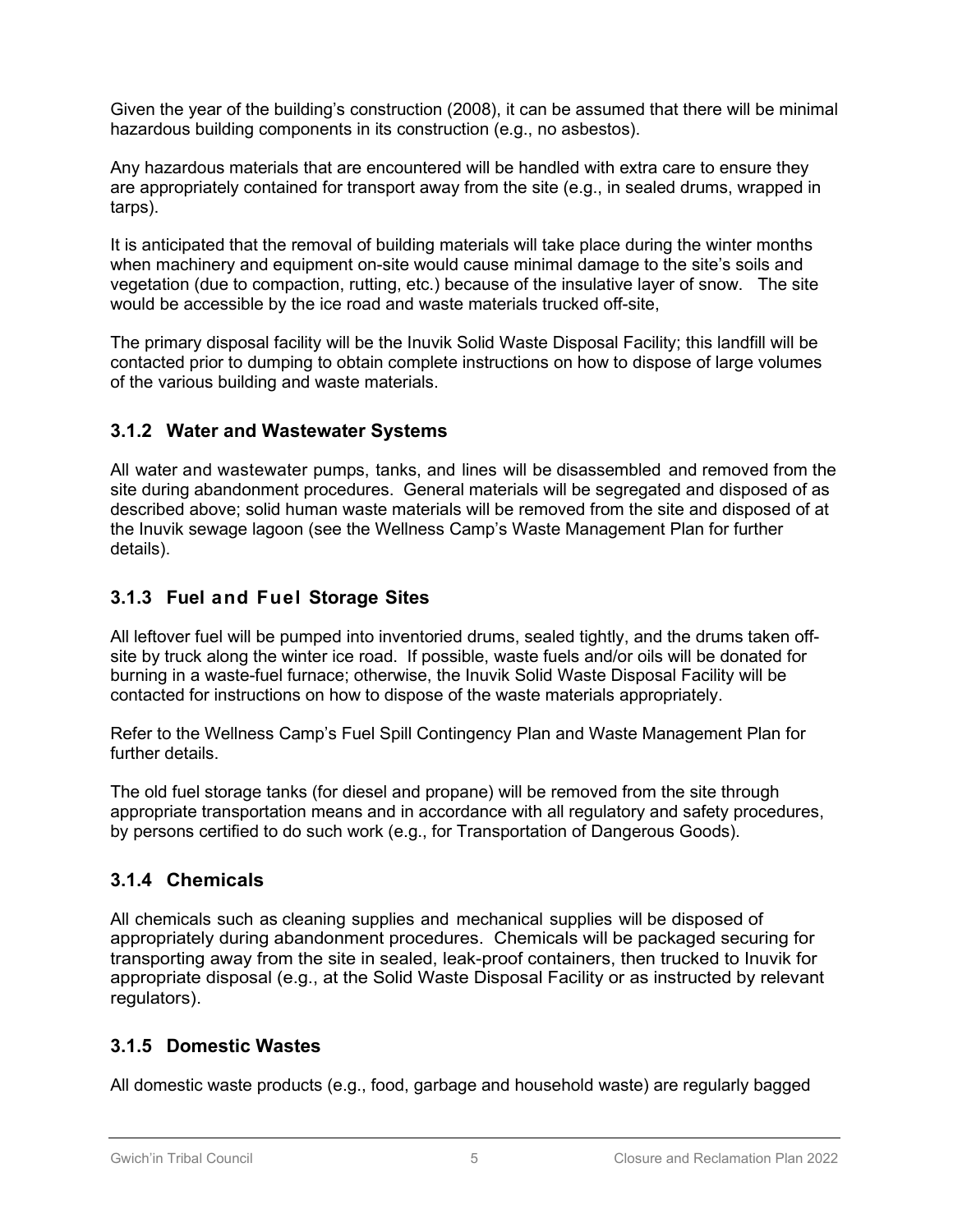Given the year of the building's construction (2008), it can be assumed that there will be minimal hazardous building components in its construction (e.g., no asbestos).

Any hazardous materials that are encountered will be handled with extra care to ensure they are appropriately contained for transport away from the site (e.g., in sealed drums, wrapped in tarps).

It is anticipated that the removal of building materials will take place during the winter months when machinery and equipment on-site would cause minimal damage to the site's soils and vegetation (due to compaction, rutting, etc.) because of the insulative layer of snow. The site would be accessible by the ice road and waste materials trucked off-site,

The primary disposal facility will be the Inuvik Solid Waste Disposal Facility; this landfill will be contacted prior to dumping to obtain complete instructions on how to dispose of large volumes of the various building and waste materials.

## **3.1.2 Water and Wastewater Systems**

All water and wastewater pumps, tanks, and lines will be disassembled and removed from the site during abandonment procedures. General materials will be segregated and disposed of as described above; solid human waste materials will be removed from the site and disposed of at the Inuvik sewage lagoon (see the Wellness Camp's Waste Management Plan for further details).

## **3.1.3 Fuel and Fuel Storage Sites**

All leftover fuel will be pumped into inventoried drums, sealed tightly, and the drums taken offsite by truck along the winter ice road. If possible, waste fuels and/or oils will be donated for burning in a waste-fuel furnace; otherwise, the Inuvik Solid Waste Disposal Facility will be contacted for instructions on how to dispose of the waste materials appropriately.

Refer to the Wellness Camp's Fuel Spill Contingency Plan and Waste Management Plan for further details.

The old fuel storage tanks (for diesel and propane) will be removed from the site through appropriate transportation means and in accordance with all regulatory and safety procedures, by persons certified to do such work (e.g., for Transportation of Dangerous Goods).

## **3.1.4 Chemicals**

All chemicals such as cleaning supplies and mechanical supplies will be disposed of appropriately during abandonment procedures. Chemicals will be packaged securing for transporting away from the site in sealed, leak-proof containers, then trucked to Inuvik for appropriate disposal (e.g., at the Solid Waste Disposal Facility or as instructed by relevant regulators).

## **3.1.5 Domestic Wastes**

All domestic waste products (e.g., food, garbage and household waste) are regularly bagged